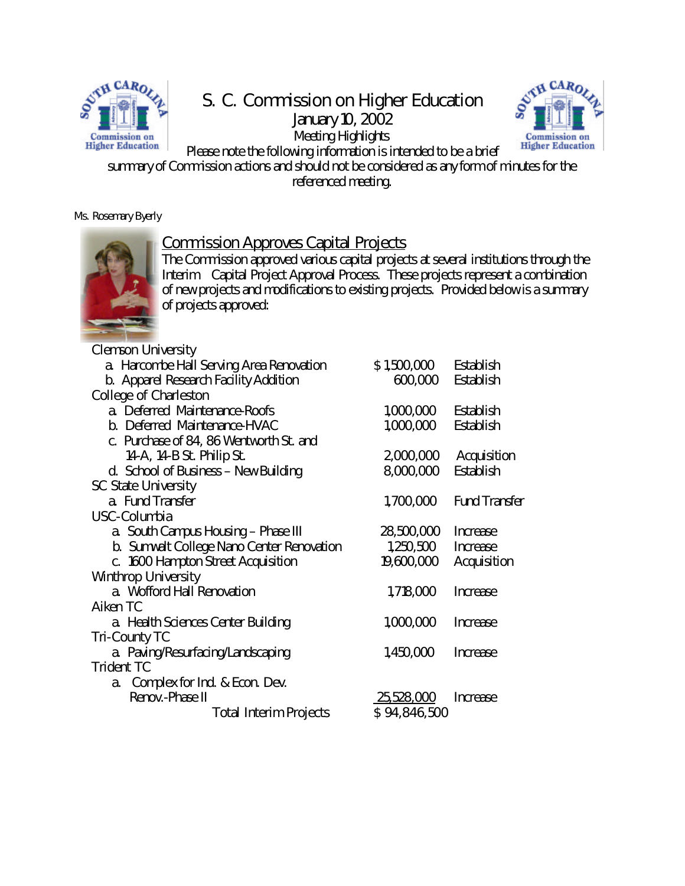

# S. C. Commission on Higher Education

January 10, 2002 Meeting Highlights



Please note the following information is intended to be a brief summary of Commission actions and should not be considered as any form of minutes for the referenced meeting.

Ms. Rosemary Byerly



### Commission Approves Capital Projects

The Commission approved various capital projects at several institutions through the Interim Capital Project Approval Process. These projects represent a combination of new projects and modifications to existing projects. Provided below is a summary of projects approved:

| <b>Clemson University</b>                        |              |                      |
|--------------------------------------------------|--------------|----------------------|
| a. Harcombe Hall Serving Area Renovation         | \$1,500,000  | <b>Establish</b>     |
| <b>b.</b> Apparel Research Facility Addition     | 600,000      | <b>Establish</b>     |
| <b>College of Charleston</b>                     |              |                      |
| a Deferred Maintenance-Roofs                     | 1,000,000    | <b>Establish</b>     |
| <b>b. Deferred Maintenance-HVAC</b>              | 1,000,000    | <b>Establish</b>     |
| c. Purchase of 84, 86 Wentworth St. and          |              |                      |
| 14-A, 14-B St. Philip St.                        | 2,000,000    | <b>Acquisition</b>   |
| d. School of Business - New Building             | 8,000,000    | <b>Establish</b>     |
| <b>SC State University</b>                       |              |                      |
| a Fund Transfer                                  | 1,700,000    | <b>Fund Transfer</b> |
| <b>USC-Columbia</b>                              |              |                      |
| a South Campus Housing - Phase III               | 28,500,000   | <b>Increase</b>      |
| <b>b. Sumwalt College Nano Center Renovation</b> | 1,250,500    | <b>Increase</b>      |
| c. 1600 Hampton Street Acquisition               | 19,600,000   | <b>Acquisition</b>   |
| <b>Winthrop University</b>                       |              |                      |
| a Wofford Hall Renovation                        | 1,718,000    | <b>Increase</b>      |
| <b>Aiken TC</b>                                  |              |                      |
| a. Health Sciences Center Building               | 1,000,000    | <b>Increase</b>      |
| <b>Tri-County TC</b>                             |              |                      |
| a. Paving/Resurfacing/Landscaping                | 1,450,000    | <b>Increase</b>      |
| <b>Trident TC</b>                                |              |                      |
| a. Complex for Ind. & Econ. Dev.                 |              |                      |
| <b>Renov.-Phase II</b>                           | 25,528,000   | <b>Increase</b>      |
| <b>Total Interim Projects</b>                    | \$94,846,500 |                      |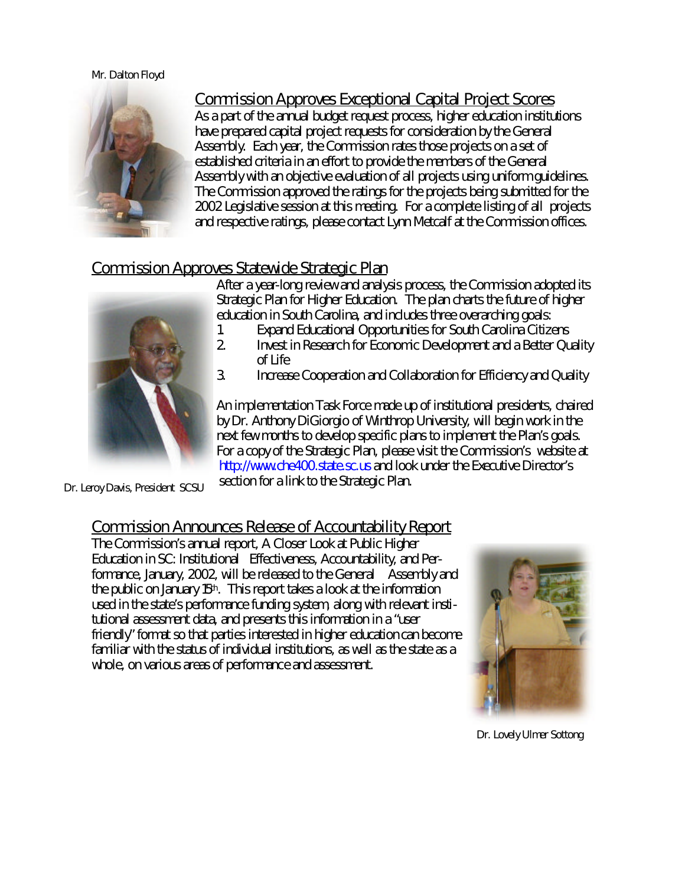#### Mr. Dalton Floyd



Commission Approves Exceptional Capital Project Scores As a part of the annual budget request process, higher education institutions have prepared capital project requests for consideration by the General Assembly. Each year, the Commission rates those projects on a set of established criteria in an effort to provide the members of the General Assembly with an objective evaluation of all projects using uniform guidelines. The Commission approved the ratings for the projects being submitted for the 2002 Legislative session at this meeting. For a complete listing of all projects and respective ratings, please contact Lynn Metcalf at the Commission offices.

#### Commission Approves Statewide Strategic Plan



After a year-long review and analysis process, the Commission adopted its Strategic Plan for Higher Education. The plan charts the future of higher education in South Carolina, and includes three overarching goals:

- 1. Expand Educational Opportunities for South Carolina Citizens<br>2. Envest in Research for Economic Development and a Better Ou
- 2. Invest in Research for Economic Development and a Better Quality of Life
- 3. Increase Cooperation and Collaboration for Efficiency and Quality

An implementation Task Force made up of institutional presidents, chaired by Dr. Anthony DiGiorgio of Winthrop University, will begin work in the next few months to develop specific plans to implement the Plan's goals. For a copy of the Strategic Plan, please visit the Commission's website at http://www.che400.state.sc.us and look under the Executive Director's section for a link to the Strategic Plan.

Dr. Leroy Davis, President SCSU

### Commission Announces Release of Accountability Report

The Commission's annual report, A Closer Look at Public Higher Education in SC: Institutional Effectiveness, Accountability, and Performance, January, 2002, will be released to the General Assembly and the public on January 15<sup>th</sup>. This report takes a look at the information used in the state's performance funding system, along with relevant institutional assessment data, and presents this information in a "user friendly" format so that parties interested in higher education can become familiar with the status of individual institutions, as well as the state as a whole, on various areas of performance and assessment.



Dr. Lovely Ulmer Sottong